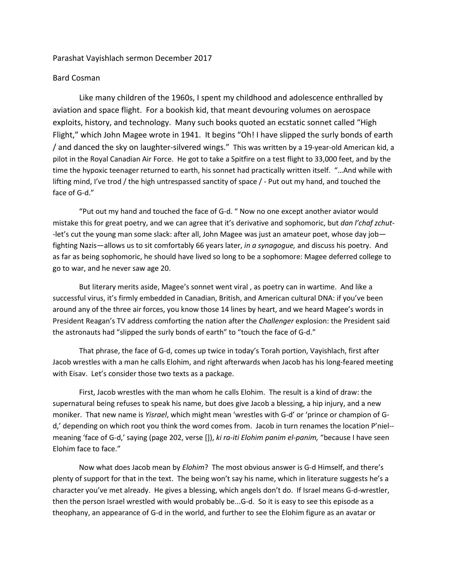## Parashat Vayishlach sermon December 2017

## Bard Cosman

Like many children of the 1960s, I spent my childhood and adolescence enthralled by aviation and space flight. For a bookish kid, that meant devouring volumes on aerospace exploits, history, and technology. Many such books quoted an ecstatic sonnet called "High Flight," which John Magee wrote in 1941. It begins "Oh! I have slipped the surly bonds of earth / and danced the sky on laughter-silvered wings." This was written by a 19-year-old American kid, a pilot in the Royal Canadian Air Force. He got to take a Spitfire on a test flight to 33,000 feet, and by the time the hypoxic teenager returned to earth, his sonnet had practically written itself. "…And while with lifting mind, I've trod / the high untrespassed sanctity of space / - Put out my hand, and touched the face of G-d."

"Put out my hand and touched the face of G-d. " Now no one except another aviator would mistake this for great poetry, and we can agree that it's derivative and sophomoric, but *dan l'chaf zchut- -*let's cut the young man some slack: after all, John Magee was just an amateur poet, whose day job fighting Nazis—allows us to sit comfortably 66 years later, *in a synagogue,* and discuss his poetry. And as far as being sophomoric, he should have lived so long to be a sophomore: Magee deferred college to go to war, and he never saw age 20.

But literary merits aside, Magee's sonnet went viral , as poetry can in wartime. And like a successful virus, it's firmly embedded in Canadian, British, and American cultural DNA: if you've been around any of the three air forces, you know those 14 lines by heart, and we heard Magee's words in President Reagan's TV address comforting the nation after the *Challenger* explosion: the President said the astronauts had "slipped the surly bonds of earth" to "touch the face of G-d."

That phrase, the face of G-d, comes up twice in today's Torah portion, Vayishlach, first after Jacob wrestles with a man he calls Elohim, and right afterwards when Jacob has his long-feared meeting with Eisav. Let's consider those two texts as a package.

First, Jacob wrestles with the man whom he calls Elohim. The result is a kind of draw: the supernatural being refuses to speak his name, but does give Jacob a blessing, a hip injury, and a new moniker. That new name is *Yisrael*, which might mean 'wrestles with G-d' or 'prince or champion of Gd,' depending on which root you think the word comes from. Jacob in turn renames the location P'niel- meaning 'face of G-d,' saying (page 202, verse []), *ki ra-iti Elohim panim el-panim,* "because I have seen Elohim face to face."

Now what does Jacob mean by *Elohim*? The most obvious answer is G-d Himself, and there's plenty of support for that in the text. The being won't say his name, which in literature suggests he's a character you've met already. He gives a blessing, which angels don't do. If Israel means G-d-wrestler, then the person Israel wrestled with would probably be...G-d. So it is easy to see this episode as a theophany, an appearance of G-d in the world, and further to see the Elohim figure as an avatar or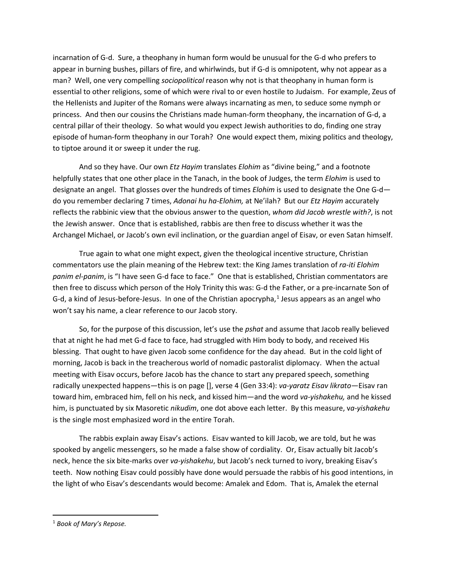incarnation of G-d. Sure, a theophany in human form would be unusual for the G-d who prefers to appear in burning bushes, pillars of fire, and whirlwinds, but if G-d is omnipotent, why not appear as a man? Well, one very compelling *sociopolitical* reason why not is that theophany in human form is essential to other religions, some of which were rival to or even hostile to Judaism. For example, Zeus of the Hellenists and Jupiter of the Romans were always incarnating as men, to seduce some nymph or princess. And then our cousins the Christians made human-form theophany, the incarnation of G-d, a central pillar of their theology. So what would you expect Jewish authorities to do, finding one stray episode of human-form theophany in our Torah? One would expect them, mixing politics and theology, to tiptoe around it or sweep it under the rug.

And so they have. Our own *Etz Hayim* translates *Elohim* as "divine being," and a footnote helpfully states that one other place in the Tanach, in the book of Judges, the term *Elohim* is used to designate an angel. That glosses over the hundreds of times *Elohim* is used to designate the One G-d do you remember declaring 7 times, *Adonai hu ha-Elohim,* at Ne'ilah? But our *Etz Hayim* accurately reflects the rabbinic view that the obvious answer to the question, *whom did Jacob wrestle with?*, is not the Jewish answer. Once that is established, rabbis are then free to discuss whether it was the Archangel Michael, or Jacob's own evil inclination, or the guardian angel of Eisav, or even Satan himself.

True again to what one might expect, given the theological incentive structure, Christian commentators use the plain meaning of the Hebrew text: the King James translation of *ra-iti Elohim panim el-panim*, is "I have seen G-d face to face." One that is established, Christian commentators are then free to discuss which person of the Holy Trinity this was: G-d the Father, or a pre-incarnate Son of G-d, a kind of Jesus-before-Jesus. In one of the Christian apocrypha, $<sup>1</sup>$  $<sup>1</sup>$  $<sup>1</sup>$  Jesus appears as an angel who</sup> won't say his name, a clear reference to our Jacob story.

So, for the purpose of this discussion, let's use the *pshat* and assume that Jacob really believed that at night he had met G-d face to face, had struggled with Him body to body, and received His blessing. That ought to have given Jacob some confidence for the day ahead. But in the cold light of morning, Jacob is back in the treacherous world of nomadic pastoralist diplomacy. When the actual meeting with Eisav occurs, before Jacob has the chance to start any prepared speech, something radically unexpected happens—this is on page [], verse 4 (Gen 33:4): *va-yaratz Eisav likrato—*Eisav ran toward him, embraced him, fell on his neck, and kissed him—and the word *va-yishakehu,* and he kissed him, is punctuated by six Masoretic *nikudim*, one dot above each letter. By this measure, v*a-yishakehu* is the single most emphasized word in the entire Torah.

The rabbis explain away Eisav's actions. Eisav wanted to kill Jacob, we are told, but he was spooked by angelic messengers, so he made a false show of cordiality. Or, Eisav actually bit Jacob's neck, hence the six bite-marks over *va-yishakehu*, but Jacob's neck turned to ivory, breaking Eisav's teeth. Now nothing Eisav could possibly have done would persuade the rabbis of his good intentions, in the light of who Eisav's descendants would become: Amalek and Edom. That is, Amalek the eternal

<span id="page-1-0"></span> <sup>1</sup> *Book of Mary's Repose.*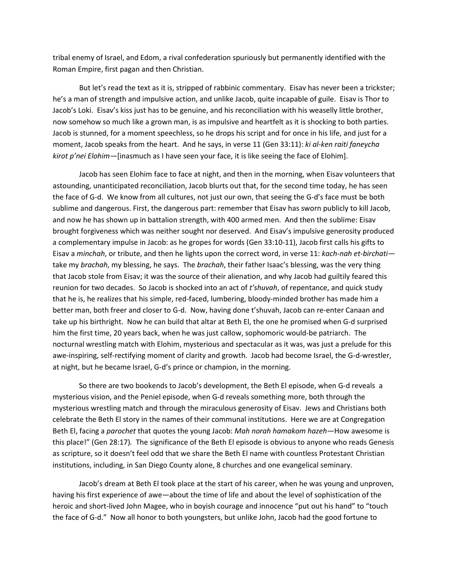tribal enemy of Israel, and Edom, a rival confederation spuriously but permanently identified with the Roman Empire, first pagan and then Christian.

But let's read the text as it is, stripped of rabbinic commentary. Eisav has never been a trickster; he's a man of strength and impulsive action, and unlike Jacob, quite incapable of guile. Eisav is Thor to Jacob's Loki. Eisav's kiss just has to be genuine, and his reconciliation with his weaselly little brother, now somehow so much like a grown man, is as impulsive and heartfelt as it is shocking to both parties. Jacob is stunned, for a moment speechless, so he drops his script and for once in his life, and just for a moment, Jacob speaks from the heart. And he says, in verse 11 (Gen 33:11): *ki al-ken raiti faneycha kirot p'nei Elohim—*[inasmuch as I have seen your face, it is like seeing the face of Elohim].

Jacob has seen Elohim face to face at night, and then in the morning, when Eisav volunteers that astounding, unanticipated reconciliation, Jacob blurts out that, for the second time today, he has seen the face of G-d. We know from all cultures, not just our own, that seeing the G-d's face must be both sublime and dangerous. First, the dangerous part: remember that Eisav has sworn publicly to kill Jacob, and now he has shown up in battalion strength, with 400 armed men. And then the sublime: Eisav brought forgiveness which was neither sought nor deserved. And Eisav's impulsive generosity produced a complementary impulse in Jacob: as he gropes for words (Gen 33:10-11), Jacob first calls his gifts to Eisav a *minchah*, or tribute, and then he lights upon the correct word, in verse 11: *kach-nah et-birchati* take my *brachah*, my blessing, he says. The *brachah*, their father Isaac's blessing, was the very thing that Jacob stole from Eisav; it was the source of their alienation, and why Jacob had guiltily feared this reunion for two decades. So Jacob is shocked into an act of *t'shuvah*, of repentance, and quick study that he is, he realizes that his simple, red-faced, lumbering, bloody-minded brother has made him a better man, both freer and closer to G-d. Now, having done t'shuvah, Jacob can re-enter Canaan and take up his birthright. Now he can build that altar at Beth El, the one he promised when G-d surprised him the first time, 20 years back, when he was just callow, sophomoric would-be patriarch. The nocturnal wrestling match with Elohim, mysterious and spectacular as it was, was just a prelude for this awe-inspiring, self-rectifying moment of clarity and growth. Jacob had become Israel, the G-d-wrestler, at night, but he became Israel, G-d's prince or champion, in the morning.

So there are two bookends to Jacob's development, the Beth El episode, when G-d reveals a mysterious vision, and the Peniel episode, when G-d reveals something more, both through the mysterious wrestling match and through the miraculous generosity of Eisav. Jews and Christians both celebrate the Beth El story in the names of their communal institutions. Here we are at Congregation Beth El, facing a *parochet* that quotes the young Jacob: *Mah norah hamakom hazeh—*How awesome is this place!" (Gen 28:17)*.* The significance of the Beth El episode is obvious to anyone who reads Genesis as scripture, so it doesn't feel odd that we share the Beth El name with countless Protestant Christian institutions, including, in San Diego County alone, 8 churches and one evangelical seminary.

Jacob's dream at Beth El took place at the start of his career, when he was young and unproven, having his first experience of awe—about the time of life and about the level of sophistication of the heroic and short-lived John Magee, who in boyish courage and innocence "put out his hand" to "touch the face of G-d." Now all honor to both youngsters, but unlike John, Jacob had the good fortune to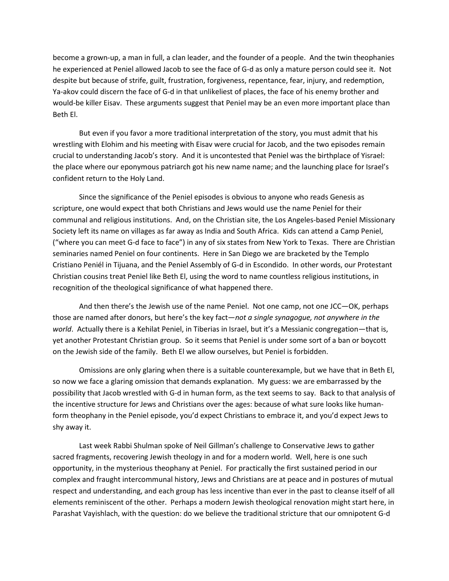become a grown-up, a man in full, a clan leader, and the founder of a people. And the twin theophanies he experienced at Peniel allowed Jacob to see the face of G-d as only a mature person could see it. Not despite but because of strife, guilt, frustration, forgiveness, repentance, fear, injury, and redemption, Ya-akov could discern the face of G-d in that unlikeliest of places, the face of his enemy brother and would-be killer Eisav. These arguments suggest that Peniel may be an even more important place than Beth El.

But even if you favor a more traditional interpretation of the story, you must admit that his wrestling with Elohim and his meeting with Eisav were crucial for Jacob, and the two episodes remain crucial to understanding Jacob's story. And it is uncontested that Peniel was the birthplace of Yisrael: the place where our eponymous patriarch got his new name name; and the launching place for Israel's confident return to the Holy Land.

Since the significance of the Peniel episodes is obvious to anyone who reads Genesis as scripture, one would expect that both Christians and Jews would use the name Peniel for their communal and religious institutions. And, on the Christian site, the Los Angeles-based Peniel Missionary Society left its name on villages as far away as India and South Africa. Kids can attend a Camp Peniel, ("where you can meet G-d face to face") in any of six states from New York to Texas. There are Christian seminaries named Peniel on four continents. Here in San Diego we are bracketed by the Templo Cristiano Peniél in Tijuana, and the Peniel Assembly of G-d in Escondido. In other words, our Protestant Christian cousins treat Peniel like Beth El, using the word to name countless religious institutions, in recognition of the theological significance of what happened there.

And then there's the Jewish use of the name Peniel. Not one camp, not one JCC—OK, perhaps those are named after donors, but here's the key fact—*not a single synagogue, not anywhere in the world*. Actually there is a Kehilat Peniel, in Tiberias in Israel, but it's a Messianic congregation—that is, yet another Protestant Christian group. So it seems that Peniel is under some sort of a ban or boycott on the Jewish side of the family. Beth El we allow ourselves, but Peniel is forbidden.

Omissions are only glaring when there is a suitable counterexample, but we have that in Beth El, so now we face a glaring omission that demands explanation. My guess: we are embarrassed by the possibility that Jacob wrestled with G-d in human form, as the text seems to say. Back to that analysis of the incentive structure for Jews and Christians over the ages: because of what sure looks like humanform theophany in the Peniel episode, you'd expect Christians to embrace it, and you'd expect Jews to shy away it.

Last week Rabbi Shulman spoke of Neil Gillman's challenge to Conservative Jews to gather sacred fragments, recovering Jewish theology in and for a modern world. Well, here is one such opportunity, in the mysterious theophany at Peniel. For practically the first sustained period in our complex and fraught intercommunal history, Jews and Christians are at peace and in postures of mutual respect and understanding, and each group has less incentive than ever in the past to cleanse itself of all elements reminiscent of the other. Perhaps a modern Jewish theological renovation might start here, in Parashat Vayishlach, with the question: do we believe the traditional stricture that our omnipotent G-d